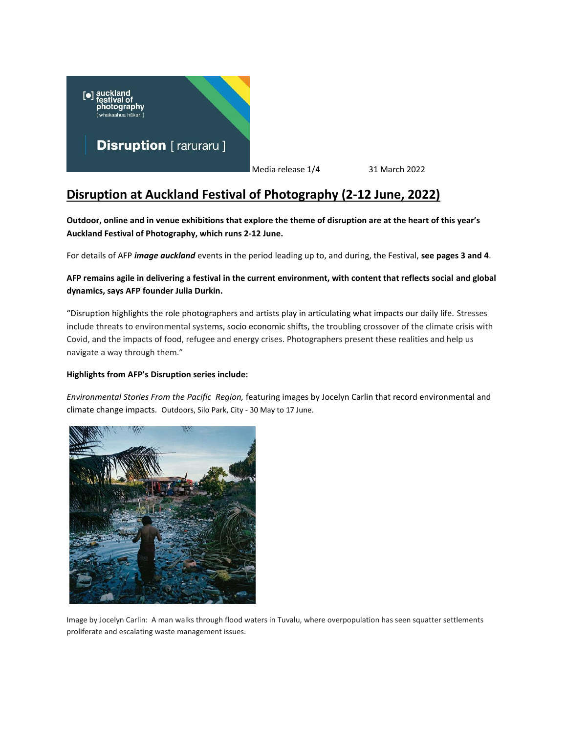

Media release 1/4 31 March 2022

## **Disruption at Auckland Festival of Photography (2-12 June, 2022)**

**Outdoor, online and in venue exhibitions that explore the theme of disruption are at the heart of this year's Auckland Festival of Photography, which runs 2-12 June.**

For details of AFP *image auckland* events in the period leading up to, and during, the Festival, **see pages 3 and 4**.

## **AFP remains agile in delivering a festival in the current environment, with content that reflects social and global dynamics, says AFP founder Julia Durkin.**

"Disruption highlights the role photographers and artists play in articulating what impacts our daily life. Stresses include threats to environmental systems, socio economic shifts, the troubling crossover of the climate crisis with Covid, and the impacts of food, refugee and energy crises. Photographers present these realities and help us navigate a way through them."

## **Highlights from AFP's Disruption series include:**

*Environmental Stories From the Pacific Region,* featuring images by Jocelyn Carlin that record environmental and climate change impacts. Outdoors, Silo Park, City - 30 May to 17 June.



Image by Jocelyn Carlin: A man walks through flood waters in Tuvalu, where overpopulation has seen squatter settlements proliferate and escalating waste management issues.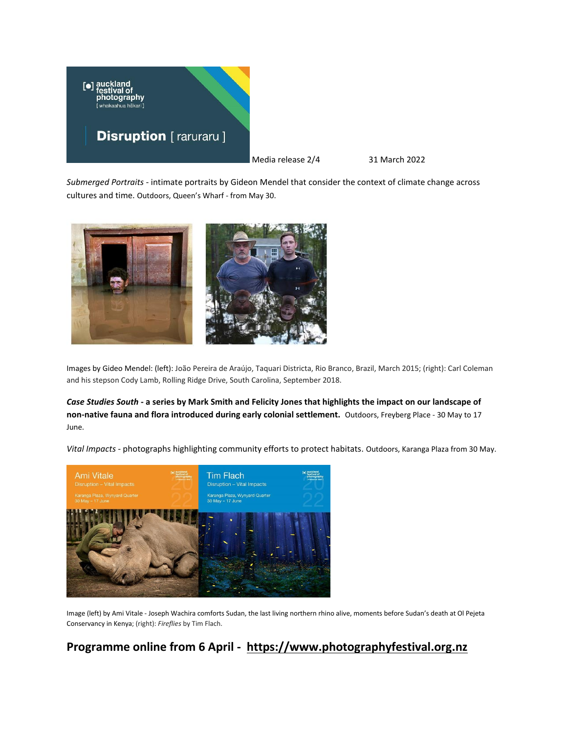

Media release 2/4 31 March 2022

*Submerged Portraits -* intimate portraits by Gideon Mendel that consider the context of climate change across cultures and time. Outdoors, Queen's Wharf - from May 30.



Images by Gideo Mendel: (left): João Pereira de Araújo, Taquari Districta, Rio Branco, Brazil, March 2015; (right): Carl Coleman and his stepson Cody Lamb, Rolling Ridge Drive, South Carolina, September 2018.

*Case Studies South* **- a series by Mark Smith and Felicity Jones that highlights the impact on our landscape of non-native fauna and flora introduced during early colonial settlement.** Outdoors, Freyberg Place - 30 May to 17 June.

*Vital Impacts -* photographs highlighting community efforts to protect habitats. Outdoors, Karanga Plaza from 30 May.



Image (left) by Ami Vitale - Joseph Wachira comforts Sudan, the last living northern rhino alive, moments before Sudan's death at Ol Pejeta Conservancy in Kenya; (right): *Fireflies* by Tim Flach.

## **Programme online from 6 April - [https://www.photographyfestival.org.nz](https://www.photographyfestival.org.nz/)**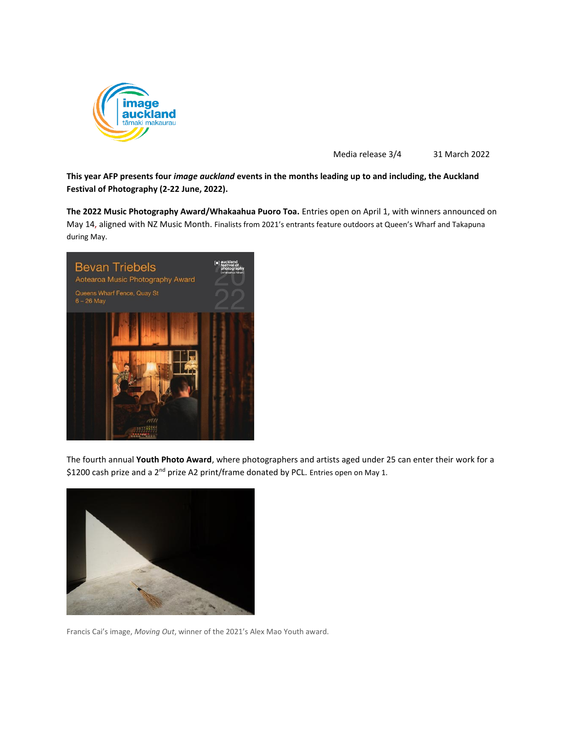

Media release 3/4 31 March 2022

**This year AFP presents four** *image auckland* **events in the months leading up to and including, the Auckland Festival of Photography (2-22 June, 2022).**

**The 2022 Music Photography Award/Whakaahua Puoro Toa.** Entries open on April 1, with winners announced on May 14, aligned with NZ Music Month. Finalists from 2021's entrants feature outdoors at Queen's Wharf and Takapuna during May.



The fourth annual **Youth Photo Award**, where photographers and artists aged under 25 can enter their work for a \$1200 cash prize and a 2<sup>nd</sup> prize A2 print/frame donated by PCL. Entries open on May 1.



Francis Cai's image, *Moving Out*, winner of the 2021's Alex Mao Youth award.